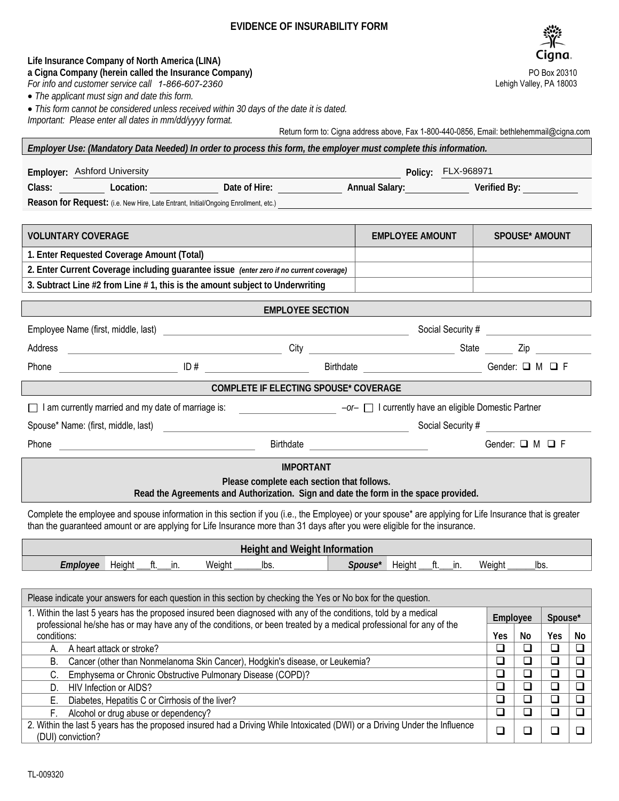## **EVIDENCE OF INSURABILITY FORM**

## *For info and customer service call 1-866-607-2360* • *The applicant must sign and date this form.*  • *This form cannot be considered unless received within 30 days of the date it is dated. Important: Please enter all dates in mm/dd/yyyy format.*

**Life Insurance Company of North America (LINA) a Cigna Company (herein called the Insurance Company)**

Return form to: Cigna address above, Fax 1-800-440-0856, Email: bethlehemmail@cigna.com

**Employer: Ashford University** Class: **Class: Location: Date of Hire: <u>Date of Hire: Annual Salary:</u> Policy: Perified By: Location: 2014** Reason for Request: (i.e. New Hire, Late Entrant, Initial/Ongoing Enrollment, etc.) **Policy: FLX-968971** 

*Employer Use: (Mandatory Data Needed) In order to process this form, the employer must complete this information.*

| <b>VOLUNTARY COVERAGE</b>                                                               | <b>EMPLOYEE AMOUNT</b> | <b>SPOUSE* AMOUNT</b> |
|-----------------------------------------------------------------------------------------|------------------------|-----------------------|
| 1. Enter Requested Coverage Amount (Total)                                              |                        |                       |
| 2. Enter Current Coverage including guarantee issue (enter zero if no current coverage) |                        |                       |
| 3. Subtract Line #2 from Line #1, this is the amount subject to Underwriting            |                        |                       |

| <b>EMPLOYEE SECTION</b>                                                                                                            |                   |                               |                                                                |                           |  |  |  |
|------------------------------------------------------------------------------------------------------------------------------------|-------------------|-------------------------------|----------------------------------------------------------------|---------------------------|--|--|--|
|                                                                                                                                    |                   |                               | Social Security #                                              |                           |  |  |  |
| Address                                                                                                                            | City              |                               | State<br><u> 1999 - Johann John Stone, markin samtid och s</u> | Zip                       |  |  |  |
| Phone                                                                                                                              |                   | Birthdate                     |                                                                | Gender: $\Box$ M $\Box$ F |  |  |  |
| <b>COMPLETE IF ELECTING SPOUSE* COVERAGE</b>                                                                                       |                   |                               |                                                                |                           |  |  |  |
| I am currently married and my date of marriage is:<br>$-\sigma r - \Box$ I currently have an eligible Domestic Partner             |                   |                               |                                                                |                           |  |  |  |
|                                                                                                                                    | Social Security # |                               |                                                                |                           |  |  |  |
| Phone<br>and the control of the control of the control of the control of the control of the control of                             |                   | Birthdate <b>Example 2018</b> |                                                                | Gender: $\Box$ M $\Box$ F |  |  |  |
| <b>IMPORTANT</b>                                                                                                                   |                   |                               |                                                                |                           |  |  |  |
| Please complete each section that follows.<br>Read the Agreements and Authorization. Sign and date the form in the space provided. |                   |                               |                                                                |                           |  |  |  |
|                                                                                                                                    |                   |                               |                                                                |                           |  |  |  |

Complete the employee and spouse information in this section if you (i.e., the Employee) or your spouse\* are applying for Life Insurance that is greater than the guaranteed amount or are applying for Life Insurance more than 31 days after you were eligible for the insurance.

| <b>All Find Weight Information</b><br>t Information |        |     |        |      |        |        |    |  |        |      |
|-----------------------------------------------------|--------|-----|--------|------|--------|--------|----|--|--------|------|
| Emplovee                                            | Heiaht | In. | Weight | Ibs. | Spouse | Heiaht | п. |  | Weight | lbs. |

| Please indicate your answers for each question in this section by checking the Yes or No box for the question.                                                                                                                          |                       |  |                          |    |  |  |
|-----------------------------------------------------------------------------------------------------------------------------------------------------------------------------------------------------------------------------------------|-----------------------|--|--------------------------|----|--|--|
| 1. Within the last 5 years has the proposed insured been diagnosed with any of the conditions, told by a medical<br>professional he/she has or may have any of the conditions, or been treated by a medical professional for any of the |                       |  | Spouse*                  |    |  |  |
| conditions:                                                                                                                                                                                                                             |                       |  |                          | No |  |  |
| A heart attack or stroke?<br>А.                                                                                                                                                                                                         | ⊔                     |  | $\overline{\phantom{a}}$ |    |  |  |
| Cancer (other than Nonmelanoma Skin Cancer), Hodgkin's disease, or Leukemia?<br>В.                                                                                                                                                      |                       |  |                          |    |  |  |
| Emphysema or Chronic Obstructive Pulmonary Disease (COPD)?<br>C.                                                                                                                                                                        | $\mathord{\text{--}}$ |  |                          |    |  |  |
| HIV Infection or AIDS?<br>D.                                                                                                                                                                                                            | $\Box$                |  |                          |    |  |  |
| Diabetes, Hepatitis C or Cirrhosis of the liver?<br>Е.                                                                                                                                                                                  | ⊔                     |  | $\overline{\phantom{a}}$ |    |  |  |
| Alcohol or drug abuse or dependency?<br>F.                                                                                                                                                                                              |                       |  |                          |    |  |  |
| 2. Within the last 5 years has the proposed insured had a Driving While Intoxicated (DWI) or a Driving Under the Influence<br>(DUI) conviction?                                                                                         |                       |  |                          |    |  |  |



Lehigh Valley, PA 18003